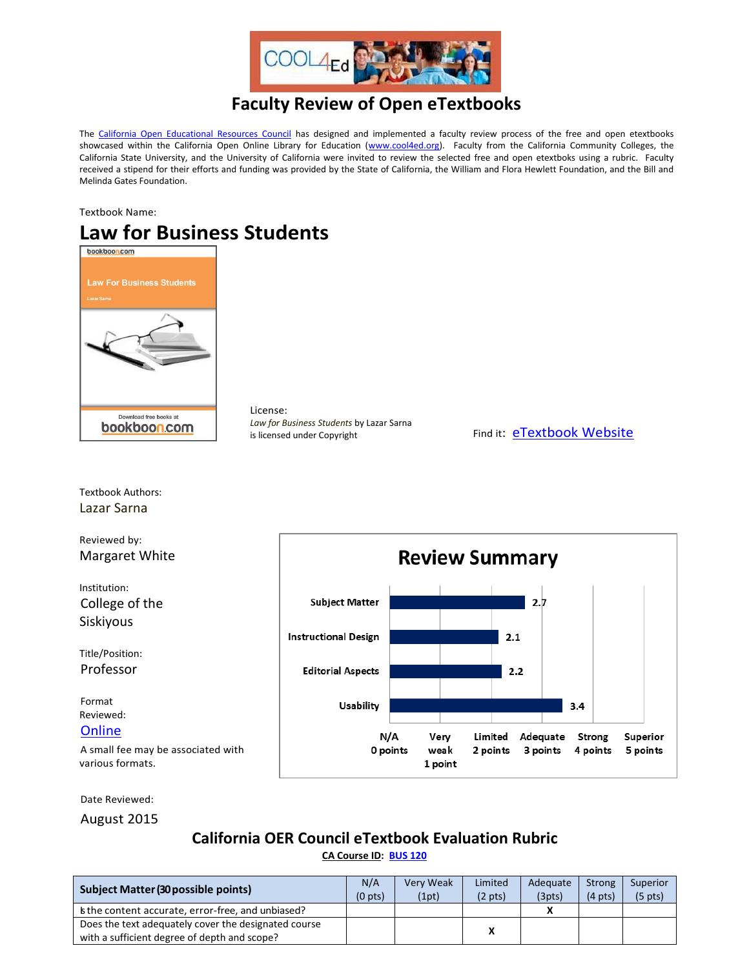

## **Faculty Review of Open eTextbooks**

The [California Open Educational Resources Council](http://icas-ca.org/coerc) has designed and implemented a faculty review process of the free and open etextbooks showcased within the California Open Online Library for Education [\(www.cool4ed.org\)](http://www.cool4ed.org/). Faculty from the California Community Colleges, the California State University, and the University of California were invited to review the selected free and open etextboks using a rubric. Faculty received a stipend for their efforts and funding was provided by the State of California, the William and Flora Hewlett Foundation, and the Bill and Melinda Gates Foundation.

Textbook Name:

## Law for Business Students



Textbook Authors:

License: *Law for Business Students* by Lazar Sarna is licensed under Copyright Find it: [eTextbook Website](http://bookboon.com/en/law-for-business-students-ebook#download)



Date Reviewed:

August 2015

## **California OER Council eTextbook Evaluation Rubric [CA Course ID:](https://c-id.net/about.html) [BUS 120](https://c-id.net/descriptor_details.html?descriptor=303)**

| <b>Subject Matter (30 possible points)</b>                                                           | N/A<br>(0 <sub>pts</sub> ) | <b>Very Weak</b><br>(1pt) | Limited<br>$(2 \text{ pts})$ | Adequate<br>(3pts) | Strong<br>$(4 \text{ pts})$ | Superior<br>$(5 \text{ pts})$ |
|------------------------------------------------------------------------------------------------------|----------------------------|---------------------------|------------------------------|--------------------|-----------------------------|-------------------------------|
| s the content accurate, error-free, and unbiased?                                                    |                            |                           |                              |                    |                             |                               |
| Does the text adequately cover the designated course<br>with a sufficient degree of depth and scope? |                            |                           | X                            |                    |                             |                               |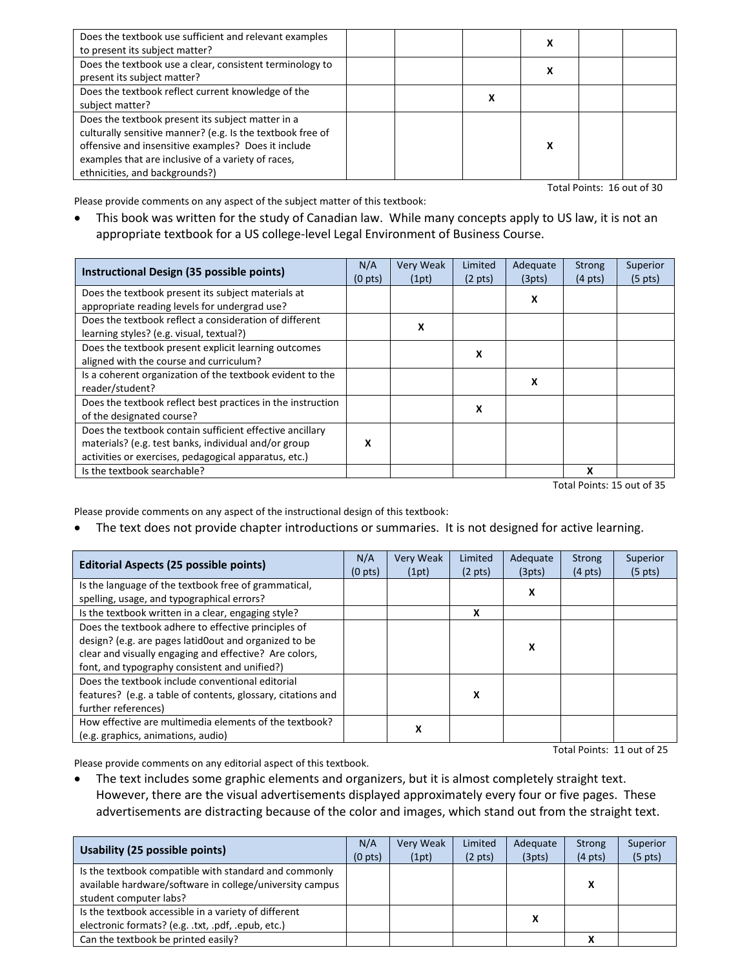| Does the textbook use sufficient and relevant examples<br>to present its subject matter?                                                                                                                                                                       |  | v |  |
|----------------------------------------------------------------------------------------------------------------------------------------------------------------------------------------------------------------------------------------------------------------|--|---|--|
| Does the textbook use a clear, consistent terminology to<br>present its subject matter?                                                                                                                                                                        |  | Δ |  |
| Does the textbook reflect current knowledge of the<br>subject matter?                                                                                                                                                                                          |  |   |  |
| Does the textbook present its subject matter in a<br>culturally sensitive manner? (e.g. Is the textbook free of<br>offensive and insensitive examples? Does it include<br>examples that are inclusive of a variety of races,<br>ethnicities, and backgrounds?) |  | v |  |

Total Points: 16 out of 30

Please provide comments on any aspect of the subject matter of this textbook:

 This book was written for the study of Canadian law. While many concepts apply to US law, it is not an appropriate textbook for a US college-level Legal Environment of Business Course.

| Instructional Design (35 possible points)                   | N/A<br>$(0 \text{ pts})$ | <b>Very Weak</b><br>(1pt) | Limited<br>$(2 \text{ pts})$ | Adequate<br>(3pts) | Strong<br>$(4 \text{ pts})$ | Superior<br>$(5 \text{ pts})$ |
|-------------------------------------------------------------|--------------------------|---------------------------|------------------------------|--------------------|-----------------------------|-------------------------------|
| Does the textbook present its subject materials at          |                          |                           |                              | x                  |                             |                               |
| appropriate reading levels for undergrad use?               |                          |                           |                              |                    |                             |                               |
| Does the textbook reflect a consideration of different      |                          | x                         |                              |                    |                             |                               |
| learning styles? (e.g. visual, textual?)                    |                          |                           |                              |                    |                             |                               |
| Does the textbook present explicit learning outcomes        |                          |                           | x                            |                    |                             |                               |
| aligned with the course and curriculum?                     |                          |                           |                              |                    |                             |                               |
| Is a coherent organization of the textbook evident to the   |                          |                           |                              | x                  |                             |                               |
| reader/student?                                             |                          |                           |                              |                    |                             |                               |
| Does the textbook reflect best practices in the instruction |                          |                           | х                            |                    |                             |                               |
| of the designated course?                                   |                          |                           |                              |                    |                             |                               |
| Does the textbook contain sufficient effective ancillary    |                          |                           |                              |                    |                             |                               |
| materials? (e.g. test banks, individual and/or group        | x                        |                           |                              |                    |                             |                               |
| activities or exercises, pedagogical apparatus, etc.)       |                          |                           |                              |                    |                             |                               |
| Is the textbook searchable?                                 |                          |                           |                              |                    | x                           |                               |

Total Points: 15 out of 35

Please provide comments on any aspect of the instructional design of this textbook:

• The text does not provide chapter introductions or summaries. It is not designed for active learning.

| <b>Editorial Aspects (25 possible points)</b>                |  | <b>Very Weak</b> | Limited           | Adequate | <b>Strong</b>     | Superior          |
|--------------------------------------------------------------|--|------------------|-------------------|----------|-------------------|-------------------|
|                                                              |  | (1pt)            | $(2 \text{ pts})$ | (3pts)   | $(4 \text{ pts})$ | $(5 \text{ pts})$ |
| Is the language of the textbook free of grammatical,         |  |                  |                   | X        |                   |                   |
| spelling, usage, and typographical errors?                   |  |                  |                   |          |                   |                   |
| Is the textbook written in a clear, engaging style?          |  |                  | x                 |          |                   |                   |
| Does the textbook adhere to effective principles of          |  |                  |                   |          |                   |                   |
| design? (e.g. are pages latid0out and organized to be        |  |                  |                   | x        |                   |                   |
| clear and visually engaging and effective? Are colors,       |  |                  |                   |          |                   |                   |
| font, and typography consistent and unified?)                |  |                  |                   |          |                   |                   |
| Does the textbook include conventional editorial             |  |                  |                   |          |                   |                   |
| features? (e.g. a table of contents, glossary, citations and |  |                  | x                 |          |                   |                   |
| further references)                                          |  |                  |                   |          |                   |                   |
| How effective are multimedia elements of the textbook?       |  | X                |                   |          |                   |                   |
| (e.g. graphics, animations, audio)                           |  |                  |                   |          |                   |                   |

Please provide comments on any editorial aspect of this textbook.

Total Points: 11 out of 25

• The text includes some graphic elements and organizers, but it is almost completely straight text. However, there are the visual advertisements displayed approximately every four or five pages. These advertisements are distracting because of the color and images, which stand out from the straight text.

| Usability (25 possible points)                                                                                                              | N/A<br>(0 <sub>pts</sub> ) | Very Weak<br>(1pt) | Limited<br>$(2 \text{ pts})$ | Adequate<br>(3pts) | <b>Strong</b><br>$(4 \text{ pts})$ | Superior<br>$(5 \text{ pts})$ |
|---------------------------------------------------------------------------------------------------------------------------------------------|----------------------------|--------------------|------------------------------|--------------------|------------------------------------|-------------------------------|
| Is the textbook compatible with standard and commonly<br>available hardware/software in college/university campus<br>student computer labs? |                            |                    |                              |                    | v                                  |                               |
| Is the textbook accessible in a variety of different<br>electronic formats? (e.g. .txt, .pdf, .epub, etc.)                                  |                            |                    |                              |                    |                                    |                               |
| Can the textbook be printed easily?                                                                                                         |                            |                    |                              |                    | v                                  |                               |